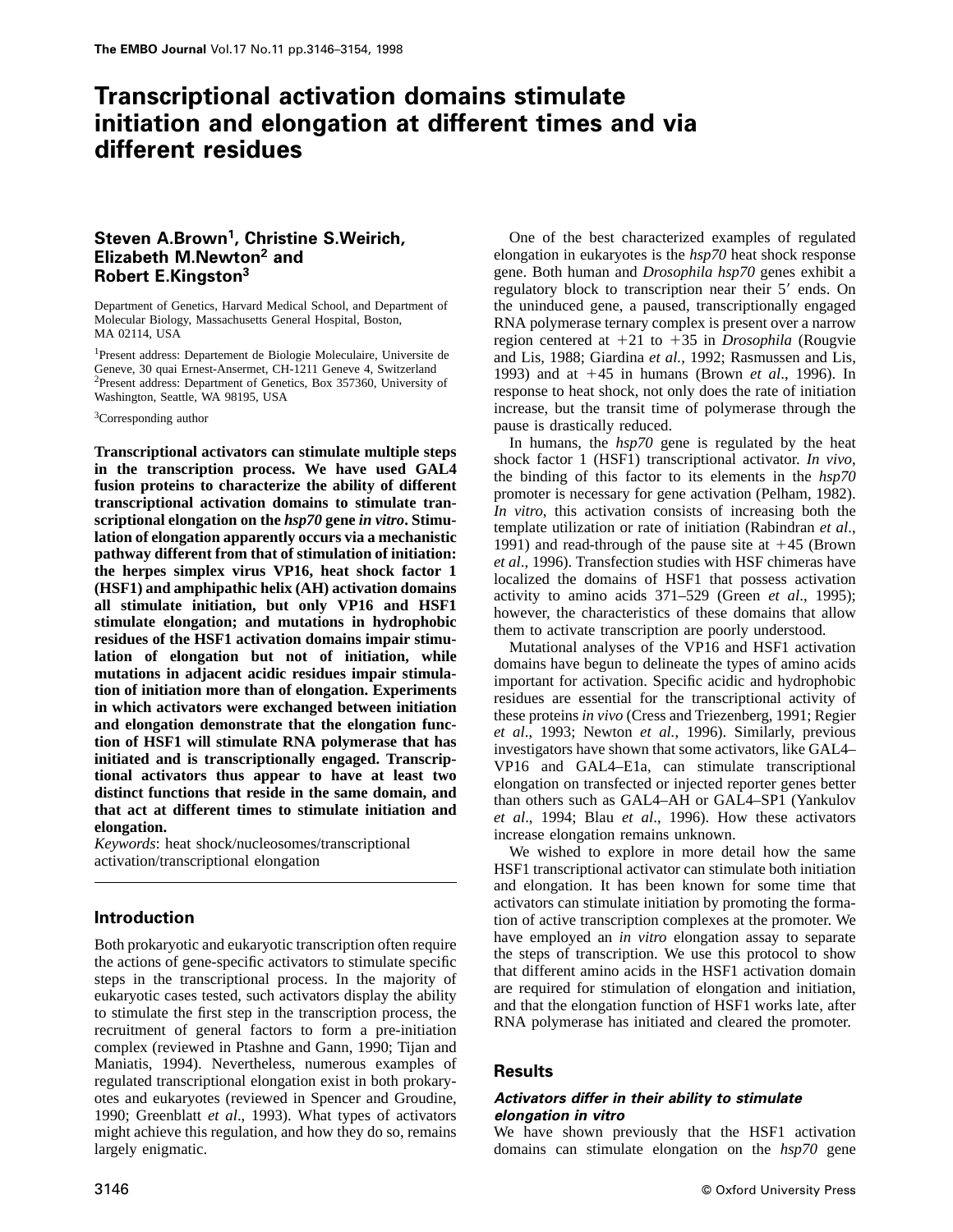# **Transcriptional activation domains stimulate initiation and elongation at different times and via different residues**

# **Steven A.Brown1, Christine S.Weirich, Elizabeth M.Newton2 and Robert E.Kingston<sup>3</sup>**

Department of Genetics, Harvard Medical School, and Department of Molecular Biology, Massachusetts General Hospital, Boston, MA 02114, USA

1Present address: Departement de Biologie Moleculaire, Universite de Geneve, 30 quai Ernest-Ansermet, CH-1211 Geneve 4, Switzerland 2Present address: Department of Genetics, Box 357360, University of Washington, Seattle, WA 98195, USA

<sup>3</sup>Corresponding author

**Transcriptional activators can stimulate multiple steps in the transcription process. We have used GAL4 fusion proteins to characterize the ability of different transcriptional activation domains to stimulate transcriptional elongation on the** *hsp70* **gene** *in vitro***. Stimulation of elongation apparently occurs via a mechanistic pathway different from that of stimulation of initiation: the herpes simplex virus VP16, heat shock factor 1 (HSF1) and amphipathic helix (AH) activation domains all stimulate initiation, but only VP16 and HSF1 stimulate elongation; and mutations in hydrophobic residues of the HSF1 activation domains impair stimulation of elongation but not of initiation, while mutations in adjacent acidic residues impair stimulation of initiation more than of elongation. Experiments in which activators were exchanged between initiation and elongation demonstrate that the elongation function of HSF1 will stimulate RNA polymerase that has initiated and is transcriptionally engaged. Transcriptional activators thus appear to have at least two distinct functions that reside in the same domain, and that act at different times to stimulate initiation and elongation.**

*Keywords*: heat shock/nucleosomes/transcriptional activation/transcriptional elongation

# **Introduction**

Both prokaryotic and eukaryotic transcription often require the actions of gene-specific activators to stimulate specific steps in the transcriptional process. In the majority of eukaryotic cases tested, such activators display the ability to stimulate the first step in the transcription process, the recruitment of general factors to form a pre-initiation complex (reviewed in Ptashne and Gann, 1990; Tijan and Maniatis, 1994). Nevertheless, numerous examples of regulated transcriptional elongation exist in both prokaryotes and eukaryotes (reviewed in Spencer and Groudine, 1990; Greenblatt *et al*., 1993). What types of activators might achieve this regulation, and how they do so, remains largely enigmatic.

One of the best characterized examples of regulated elongation in eukaryotes is the *hsp70* heat shock response gene. Both human and *Drosophila hsp70* genes exhibit a regulatory block to transcription near their 5' ends. On the uninduced gene, a paused, transcriptionally engaged RNA polymerase ternary complex is present over a narrow region centered at  $+21$  to  $+35$  in *Drosophila* (Rougvie and Lis, 1988; Giardina *et al.*, 1992; Rasmussen and Lis, 1993) and at 145 in humans (Brown *et al*., 1996). In response to heat shock, not only does the rate of initiation increase, but the transit time of polymerase through the pause is drastically reduced.

In humans, the *hsp70* gene is regulated by the heat shock factor 1 (HSF1) transcriptional activator. *In vivo*, the binding of this factor to its elements in the *hsp70* promoter is necessary for gene activation (Pelham, 1982). *In vitro*, this activation consists of increasing both the template utilization or rate of initiation (Rabindran *et al*., 1991) and read-through of the pause site at  $+45$  (Brown *et al*., 1996). Transfection studies with HSF chimeras have localized the domains of HSF1 that possess activation activity to amino acids 371–529 (Green *et al*., 1995); however, the characteristics of these domains that allow them to activate transcription are poorly understood.

Mutational analyses of the VP16 and HSF1 activation domains have begun to delineate the types of amino acids important for activation. Specific acidic and hydrophobic residues are essential for the transcriptional activity of these proteins *in vivo* (Cress and Triezenberg, 1991; Regier *et al*., 1993; Newton *et al.*, 1996). Similarly, previous investigators have shown that some activators, like GAL4– VP16 and GAL4–E1a, can stimulate transcriptional elongation on transfected or injected reporter genes better than others such as GAL4–AH or GAL4–SP1 (Yankulov *et al*., 1994; Blau *et al*., 1996). How these activators increase elongation remains unknown.

We wished to explore in more detail how the same HSF1 transcriptional activator can stimulate both initiation and elongation. It has been known for some time that activators can stimulate initiation by promoting the formation of active transcription complexes at the promoter. We have employed an *in vitro* elongation assay to separate the steps of transcription. We use this protocol to show that different amino acids in the HSF1 activation domain are required for stimulation of elongation and initiation, and that the elongation function of HSF1 works late, after RNA polymerase has initiated and cleared the promoter.

# **Results**

#### **Activators differ in their ability to stimulate elongation in vitro**

We have shown previously that the HSF1 activation domains can stimulate elongation on the *hsp70* gene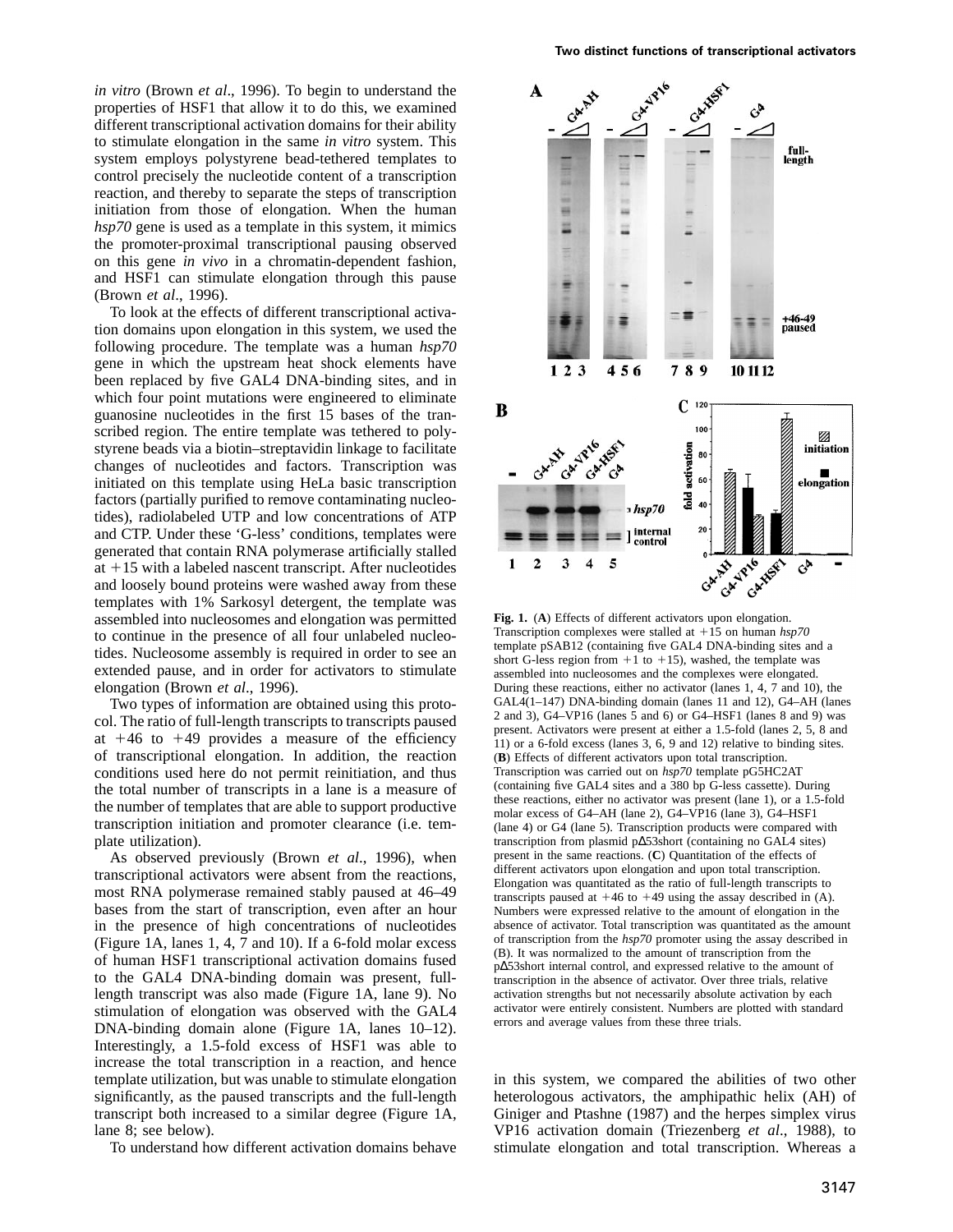*in vitro* (Brown *et al*., 1996). To begin to understand the properties of HSF1 that allow it to do this, we examined different transcriptional activation domains for their ability to stimulate elongation in the same *in vitro* system. This system employs polystyrene bead-tethered templates to control precisely the nucleotide content of a transcription reaction, and thereby to separate the steps of transcription initiation from those of elongation. When the human *hsp70* gene is used as a template in this system, it mimics the promoter-proximal transcriptional pausing observed on this gene *in vivo* in a chromatin-dependent fashion, and HSF1 can stimulate elongation through this pause (Brown *et al*., 1996).

To look at the effects of different transcriptional activation domains upon elongation in this system, we used the following procedure. The template was a human *hsp70* gene in which the upstream heat shock elements have been replaced by five GAL4 DNA-binding sites, and in which four point mutations were engineered to eliminate guanosine nucleotides in the first 15 bases of the transcribed region. The entire template was tethered to polystyrene beads via a biotin–streptavidin linkage to facilitate changes of nucleotides and factors. Transcription was initiated on this template using HeLa basic transcription factors (partially purified to remove contaminating nucleotides), radiolabeled UTP and low concentrations of ATP and CTP. Under these 'G-less' conditions, templates were generated that contain RNA polymerase artificially stalled at  $+15$  with a labeled nascent transcript. After nucleotides and loosely bound proteins were washed away from these templates with 1% Sarkosyl detergent, the template was assembled into nucleosomes and elongation was permitted to continue in the presence of all four unlabeled nucleotides. Nucleosome assembly is required in order to see an extended pause, and in order for activators to stimulate elongation (Brown *et al*., 1996).

Two types of information are obtained using this protocol. The ratio of full-length transcripts to transcripts paused at  $+46$  to  $+49$  provides a measure of the efficiency of transcriptional elongation. In addition, the reaction conditions used here do not permit reinitiation, and thus the total number of transcripts in a lane is a measure of the number of templates that are able to support productive transcription initiation and promoter clearance (i.e. template utilization).

As observed previously (Brown *et al*., 1996), when transcriptional activators were absent from the reactions, most RNA polymerase remained stably paused at 46–49 bases from the start of transcription, even after an hour in the presence of high concentrations of nucleotides (Figure 1A, lanes 1, 4, 7 and 10). If a 6-fold molar excess of human HSF1 transcriptional activation domains fused to the GAL4 DNA-binding domain was present, fulllength transcript was also made (Figure 1A, lane 9). No stimulation of elongation was observed with the GAL4 DNA-binding domain alone (Figure 1A, lanes 10–12). Interestingly, a 1.5-fold excess of HSF1 was able to increase the total transcription in a reaction, and hence template utilization, but was unable to stimulate elongation significantly, as the paused transcripts and the full-length transcript both increased to a similar degree (Figure 1A, lane 8; see below).

To understand how different activation domains behave



**Fig. 1.** (**A**) Effects of different activators upon elongation. Transcription complexes were stalled at  $+15$  on human  $hsp70$ template pSAB12 (containing five GAL4 DNA-binding sites and a short G-less region from  $+1$  to  $+15$ ), washed, the template was assembled into nucleosomes and the complexes were elongated. During these reactions, either no activator (lanes 1, 4, 7 and 10), the GAL4(1–147) DNA-binding domain (lanes 11 and 12), G4–AH (lanes 2 and 3), G4–VP16 (lanes 5 and 6) or G4–HSF1 (lanes 8 and 9) was present. Activators were present at either a 1.5-fold (lanes 2, 5, 8 and 11) or a 6-fold excess (lanes 3, 6, 9 and 12) relative to binding sites. (**B**) Effects of different activators upon total transcription. Transcription was carried out on *hsp70* template pG5HC2AT (containing five GAL4 sites and a 380 bp G-less cassette). During these reactions, either no activator was present (lane 1), or a 1.5-fold molar excess of G4–AH (lane 2), G4–VP16 (lane 3), G4–HSF1 (lane 4) or G4 (lane 5). Transcription products were compared with transcription from plasmid p∆53short (containing no GAL4 sites) present in the same reactions. (**C**) Quantitation of the effects of different activators upon elongation and upon total transcription. Elongation was quantitated as the ratio of full-length transcripts to transcripts paused at  $+46$  to  $+49$  using the assay described in (A). Numbers were expressed relative to the amount of elongation in the absence of activator. Total transcription was quantitated as the amount of transcription from the *hsp70* promoter using the assay described in (B). It was normalized to the amount of transcription from the p∆53short internal control, and expressed relative to the amount of transcription in the absence of activator. Over three trials, relative activation strengths but not necessarily absolute activation by each activator were entirely consistent. Numbers are plotted with standard errors and average values from these three trials.

in this system, we compared the abilities of two other heterologous activators, the amphipathic helix (AH) of Giniger and Ptashne (1987) and the herpes simplex virus VP16 activation domain (Triezenberg *et al*., 1988), to stimulate elongation and total transcription. Whereas a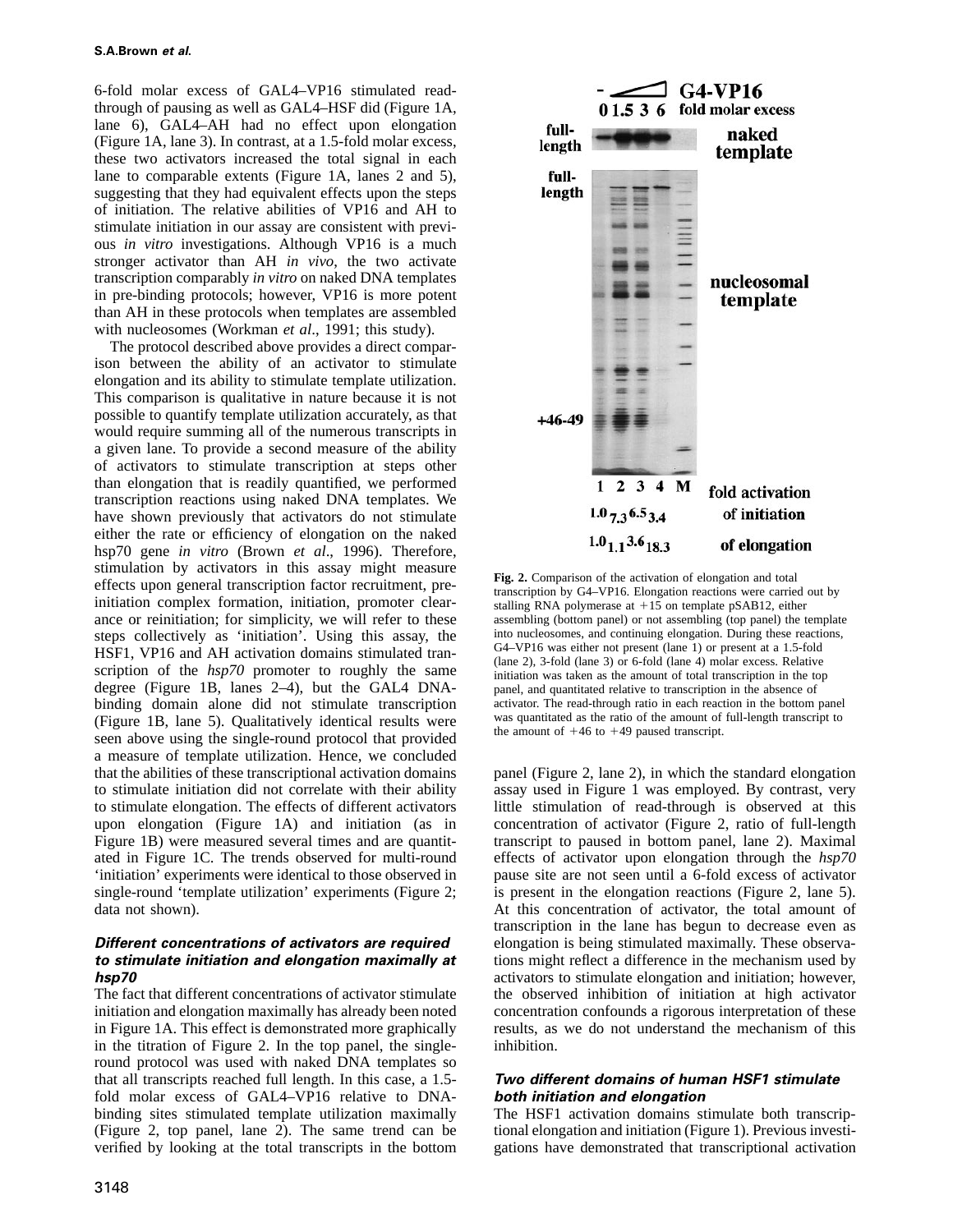6-fold molar excess of GAL4–VP16 stimulated readthrough of pausing as well as GAL4–HSF did (Figure 1A, lane 6), GAL4–AH had no effect upon elongation (Figure 1A, lane 3). In contrast, at a 1.5-fold molar excess, these two activators increased the total signal in each lane to comparable extents (Figure 1A, lanes 2 and 5), suggesting that they had equivalent effects upon the steps of initiation. The relative abilities of VP16 and AH to stimulate initiation in our assay are consistent with previous *in vitro* investigations. Although VP16 is a much stronger activator than AH *in vivo*, the two activate transcription comparably *in vitro* on naked DNA templates in pre-binding protocols; however, VP16 is more potent than AH in these protocols when templates are assembled with nucleosomes (Workman *et al*., 1991; this study).

The protocol described above provides a direct comparison between the ability of an activator to stimulate elongation and its ability to stimulate template utilization. This comparison is qualitative in nature because it is not possible to quantify template utilization accurately, as that would require summing all of the numerous transcripts in a given lane. To provide a second measure of the ability of activators to stimulate transcription at steps other than elongation that is readily quantified, we performed transcription reactions using naked DNA templates. We have shown previously that activators do not stimulate either the rate or efficiency of elongation on the naked hsp70 gene *in vitro* (Brown *et al*., 1996). Therefore, stimulation by activators in this assay might measure effects upon general transcription factor recruitment, preinitiation complex formation, initiation, promoter clearance or reinitiation; for simplicity, we will refer to these steps collectively as 'initiation'. Using this assay, the HSF1, VP16 and AH activation domains stimulated transcription of the *hsp70* promoter to roughly the same degree (Figure 1B, lanes 2–4), but the GAL4 DNAbinding domain alone did not stimulate transcription (Figure 1B, lane 5). Qualitatively identical results were seen above using the single-round protocol that provided a measure of template utilization. Hence, we concluded that the abilities of these transcriptional activation domains to stimulate initiation did not correlate with their ability to stimulate elongation. The effects of different activators upon elongation (Figure 1A) and initiation (as in Figure 1B) were measured several times and are quantitated in Figure 1C. The trends observed for multi-round 'initiation' experiments were identical to those observed in single-round 'template utilization' experiments (Figure 2; data not shown).

## **Different concentrations of activators are required to stimulate initiation and elongation maximally at hsp70**

The fact that different concentrations of activator stimulate initiation and elongation maximally has already been noted in Figure 1A. This effect is demonstrated more graphically in the titration of Figure 2. In the top panel, the singleround protocol was used with naked DNA templates so that all transcripts reached full length. In this case, a 1.5 fold molar excess of GAL4–VP16 relative to DNAbinding sites stimulated template utilization maximally (Figure 2, top panel, lane 2). The same trend can be verified by looking at the total transcripts in the bottom



**Fig. 2.** Comparison of the activation of elongation and total transcription by G4–VP16. Elongation reactions were carried out by stalling RNA polymerase at  $+15$  on template pSAB12, either assembling (bottom panel) or not assembling (top panel) the template into nucleosomes, and continuing elongation. During these reactions, G4–VP16 was either not present (lane 1) or present at a 1.5-fold (lane 2), 3-fold (lane 3) or 6-fold (lane 4) molar excess. Relative initiation was taken as the amount of total transcription in the top panel, and quantitated relative to transcription in the absence of activator. The read-through ratio in each reaction in the bottom panel was quantitated as the ratio of the amount of full-length transcript to the amount of  $+46$  to  $+49$  paused transcript.

panel (Figure 2, lane 2), in which the standard elongation assay used in Figure 1 was employed. By contrast, very little stimulation of read-through is observed at this concentration of activator (Figure 2, ratio of full-length transcript to paused in bottom panel, lane 2). Maximal effects of activator upon elongation through the *hsp70* pause site are not seen until a 6-fold excess of activator is present in the elongation reactions (Figure 2, lane 5). At this concentration of activator, the total amount of transcription in the lane has begun to decrease even as elongation is being stimulated maximally. These observations might reflect a difference in the mechanism used by activators to stimulate elongation and initiation; however, the observed inhibition of initiation at high activator concentration confounds a rigorous interpretation of these results, as we do not understand the mechanism of this inhibition.

## **Two different domains of human HSF1 stimulate both initiation and elongation**

The HSF1 activation domains stimulate both transcriptional elongation and initiation (Figure 1). Previous investigations have demonstrated that transcriptional activation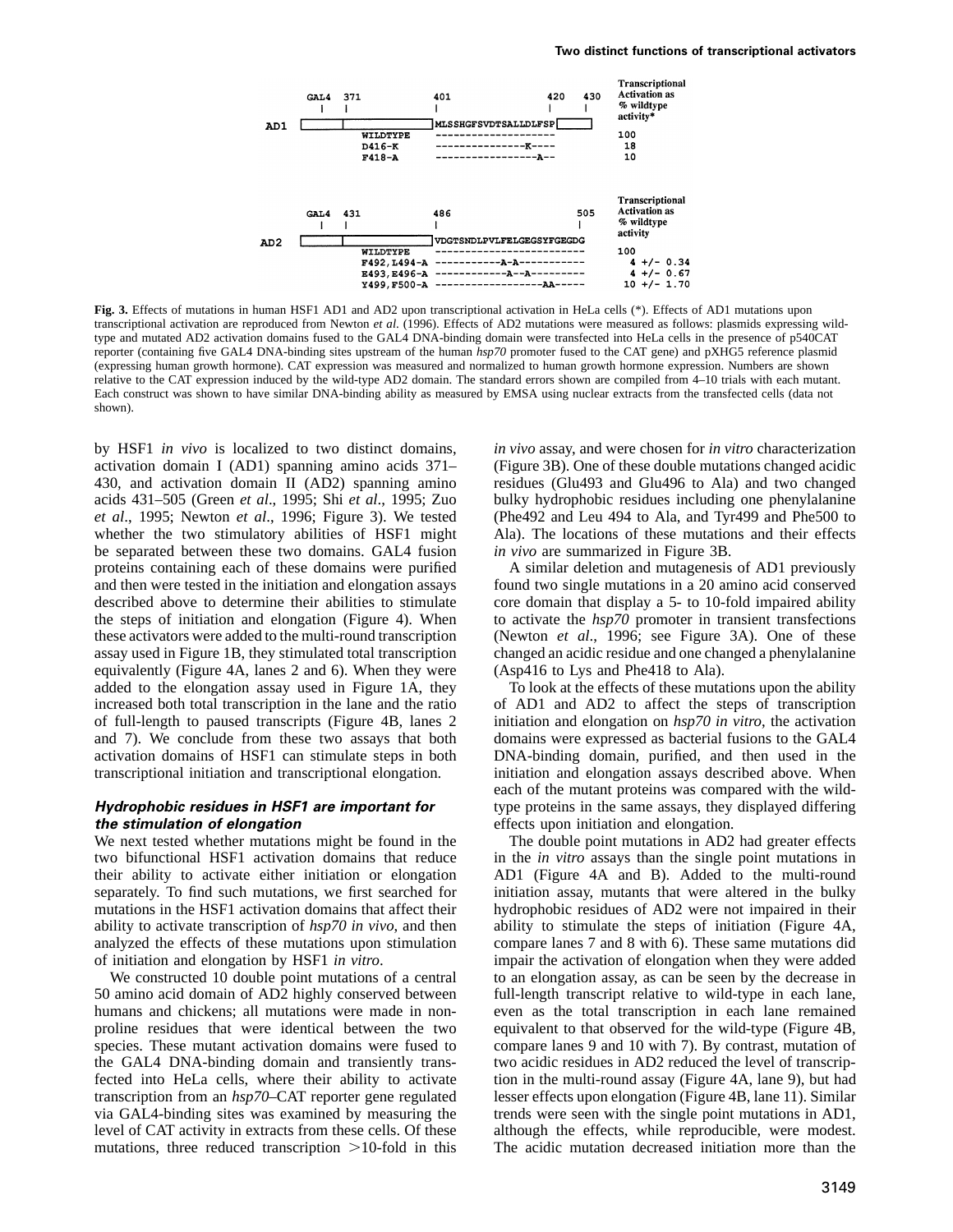

**Fig. 3.** Effects of mutations in human HSF1 AD1 and AD2 upon transcriptional activation in HeLa cells (\*). Effects of AD1 mutations upon transcriptional activation are reproduced from Newton *et al*. (1996). Effects of AD2 mutations were measured as follows: plasmids expressing wildtype and mutated AD2 activation domains fused to the GAL4 DNA-binding domain were transfected into HeLa cells in the presence of p540CAT reporter (containing five GAL4 DNA-binding sites upstream of the human *hsp70* promoter fused to the CAT gene) and pXHG5 reference plasmid (expressing human growth hormone). CAT expression was measured and normalized to human growth hormone expression. Numbers are shown relative to the CAT expression induced by the wild-type AD2 domain. The standard errors shown are compiled from 4–10 trials with each mutant. Each construct was shown to have similar DNA-binding ability as measured by EMSA using nuclear extracts from the transfected cells (data not shown).

by HSF1 *in vivo* is localized to two distinct domains, activation domain I (AD1) spanning amino acids 371– 430, and activation domain II (AD2) spanning amino acids 431–505 (Green *et al*., 1995; Shi *et al*., 1995; Zuo *et al*., 1995; Newton *et al*., 1996; Figure 3). We tested whether the two stimulatory abilities of HSF1 might be separated between these two domains. GAL4 fusion proteins containing each of these domains were purified and then were tested in the initiation and elongation assays described above to determine their abilities to stimulate the steps of initiation and elongation (Figure 4). When these activators were added to the multi-round transcription assay used in Figure 1B, they stimulated total transcription equivalently (Figure 4A, lanes 2 and 6). When they were added to the elongation assay used in Figure 1A, they increased both total transcription in the lane and the ratio of full-length to paused transcripts (Figure 4B, lanes 2 and 7). We conclude from these two assays that both activation domains of HSF1 can stimulate steps in both transcriptional initiation and transcriptional elongation.

#### **Hydrophobic residues in HSF1 are important for the stimulation of elongation**

We next tested whether mutations might be found in the two bifunctional HSF1 activation domains that reduce their ability to activate either initiation or elongation separately. To find such mutations, we first searched for mutations in the HSF1 activation domains that affect their ability to activate transcription of *hsp70 in vivo*, and then analyzed the effects of these mutations upon stimulation of initiation and elongation by HSF1 *in vitro*.

We constructed 10 double point mutations of a central 50 amino acid domain of AD2 highly conserved between humans and chickens; all mutations were made in nonproline residues that were identical between the two species. These mutant activation domains were fused to the GAL4 DNA-binding domain and transiently transfected into HeLa cells, where their ability to activate transcription from an *hsp70*–CAT reporter gene regulated via GAL4-binding sites was examined by measuring the level of CAT activity in extracts from these cells. Of these mutations, three reduced transcription  $>10$ -fold in this *in vivo* assay, and were chosen for *in vitro* characterization (Figure 3B). One of these double mutations changed acidic residues (Glu493 and Glu496 to Ala) and two changed bulky hydrophobic residues including one phenylalanine (Phe492 and Leu 494 to Ala, and Tyr499 and Phe500 to Ala). The locations of these mutations and their effects *in vivo* are summarized in Figure 3B.

A similar deletion and mutagenesis of AD1 previously found two single mutations in a 20 amino acid conserved core domain that display a 5- to 10-fold impaired ability to activate the *hsp70* promoter in transient transfections (Newton *et al*., 1996; see Figure 3A). One of these changed an acidic residue and one changed a phenylalanine (Asp416 to Lys and Phe418 to Ala).

To look at the effects of these mutations upon the ability of AD1 and AD2 to affect the steps of transcription initiation and elongation on *hsp70 in vitro*, the activation domains were expressed as bacterial fusions to the GAL4 DNA-binding domain, purified, and then used in the initiation and elongation assays described above. When each of the mutant proteins was compared with the wildtype proteins in the same assays, they displayed differing effects upon initiation and elongation.

The double point mutations in AD2 had greater effects in the *in vitro* assays than the single point mutations in AD1 (Figure 4A and B). Added to the multi-round initiation assay, mutants that were altered in the bulky hydrophobic residues of AD2 were not impaired in their ability to stimulate the steps of initiation (Figure 4A, compare lanes 7 and 8 with 6). These same mutations did impair the activation of elongation when they were added to an elongation assay, as can be seen by the decrease in full-length transcript relative to wild-type in each lane, even as the total transcription in each lane remained equivalent to that observed for the wild-type (Figure 4B, compare lanes 9 and 10 with 7). By contrast, mutation of two acidic residues in AD2 reduced the level of transcription in the multi-round assay (Figure 4A, lane 9), but had lesser effects upon elongation (Figure 4B, lane 11). Similar trends were seen with the single point mutations in AD1, although the effects, while reproducible, were modest. The acidic mutation decreased initiation more than the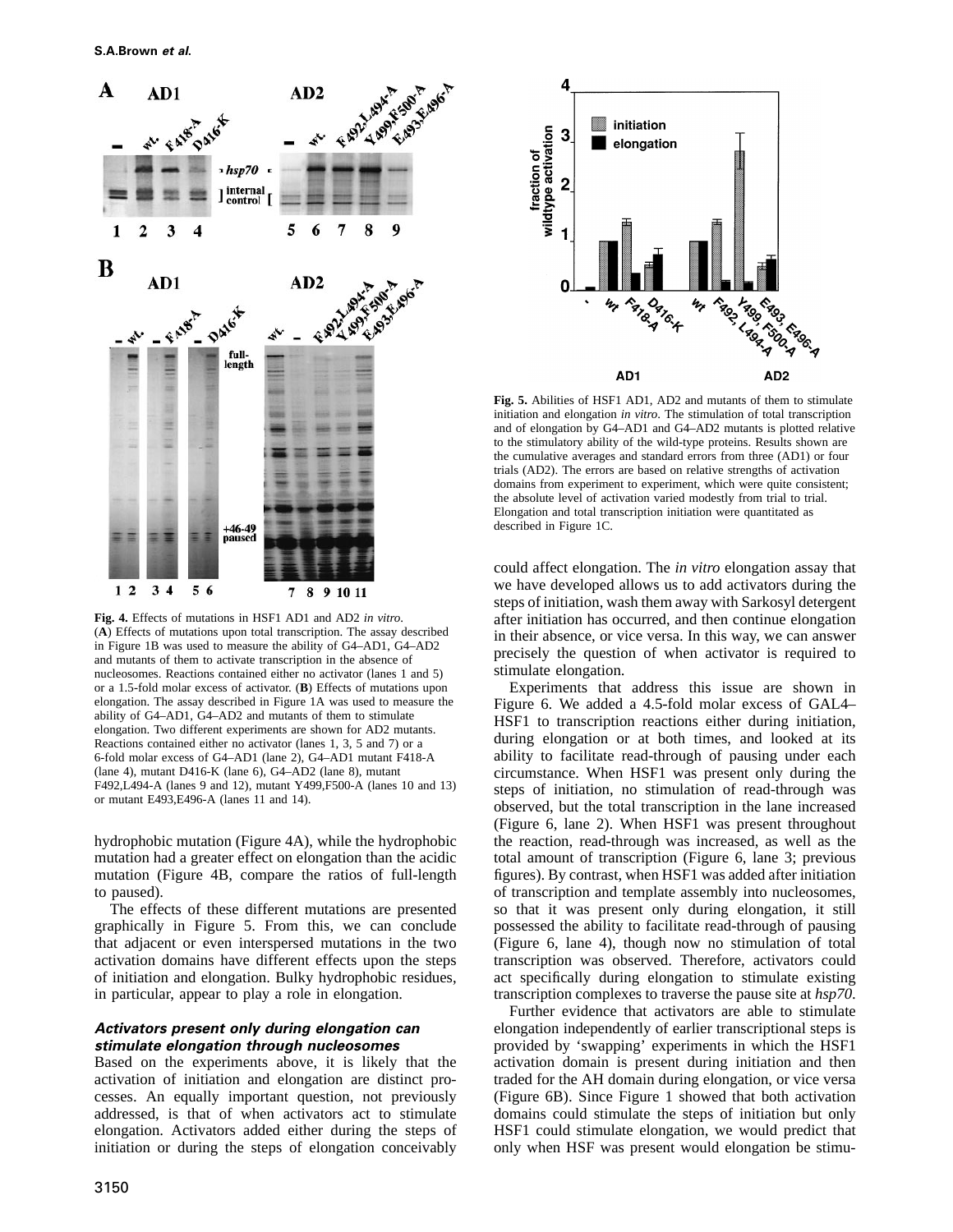

**Fig. 4.** Effects of mutations in HSF1 AD1 and AD2 *in vitro*. (**A**) Effects of mutations upon total transcription. The assay described in Figure 1B was used to measure the ability of G4–AD1, G4–AD2 and mutants of them to activate transcription in the absence of nucleosomes. Reactions contained either no activator (lanes 1 and 5) or a 1.5-fold molar excess of activator. (**B**) Effects of mutations upon elongation. The assay described in Figure 1A was used to measure the ability of G4–AD1, G4–AD2 and mutants of them to stimulate elongation. Two different experiments are shown for AD2 mutants. Reactions contained either no activator (lanes 1, 3, 5 and 7) or a 6-fold molar excess of G4–AD1 (lane 2), G4–AD1 mutant F418-A (lane 4), mutant D416-K (lane 6), G4–AD2 (lane 8), mutant F492,L494-A (lanes 9 and 12), mutant Y499,F500-A (lanes 10 and 13) or mutant E493,E496-A (lanes 11 and 14).

hydrophobic mutation (Figure 4A), while the hydrophobic mutation had a greater effect on elongation than the acidic mutation (Figure 4B, compare the ratios of full-length to paused).

The effects of these different mutations are presented graphically in Figure 5. From this, we can conclude that adjacent or even interspersed mutations in the two activation domains have different effects upon the steps of initiation and elongation. Bulky hydrophobic residues, in particular, appear to play a role in elongation.

#### **Activators present only during elongation can stimulate elongation through nucleosomes**

Based on the experiments above, it is likely that the activation of initiation and elongation are distinct processes. An equally important question, not previously addressed, is that of when activators act to stimulate elongation. Activators added either during the steps of initiation or during the steps of elongation conceivably



**Fig. 5.** Abilities of HSF1 AD1, AD2 and mutants of them to stimulate initiation and elongation *in vitro*. The stimulation of total transcription and of elongation by G4–AD1 and G4–AD2 mutants is plotted relative to the stimulatory ability of the wild-type proteins. Results shown are the cumulative averages and standard errors from three (AD1) or four trials (AD2). The errors are based on relative strengths of activation domains from experiment to experiment, which were quite consistent; the absolute level of activation varied modestly from trial to trial. Elongation and total transcription initiation were quantitated as described in Figure 1C.

could affect elongation. The *in vitro* elongation assay that we have developed allows us to add activators during the steps of initiation, wash them away with Sarkosyl detergent after initiation has occurred, and then continue elongation in their absence, or vice versa. In this way, we can answer precisely the question of when activator is required to stimulate elongation.

Experiments that address this issue are shown in Figure 6. We added a 4.5-fold molar excess of GAL4– HSF1 to transcription reactions either during initiation, during elongation or at both times, and looked at its ability to facilitate read-through of pausing under each circumstance. When HSF1 was present only during the steps of initiation, no stimulation of read-through was observed, but the total transcription in the lane increased (Figure 6, lane 2). When HSF1 was present throughout the reaction, read-through was increased, as well as the total amount of transcription (Figure 6, lane 3; previous figures). By contrast, when HSF1 was added after initiation of transcription and template assembly into nucleosomes, so that it was present only during elongation, it still possessed the ability to facilitate read-through of pausing (Figure 6, lane 4), though now no stimulation of total transcription was observed. Therefore, activators could act specifically during elongation to stimulate existing transcription complexes to traverse the pause site at *hsp70*.

Further evidence that activators are able to stimulate elongation independently of earlier transcriptional steps is provided by 'swapping' experiments in which the HSF1 activation domain is present during initiation and then traded for the AH domain during elongation, or vice versa (Figure 6B). Since Figure 1 showed that both activation domains could stimulate the steps of initiation but only HSF1 could stimulate elongation, we would predict that only when HSF was present would elongation be stimu-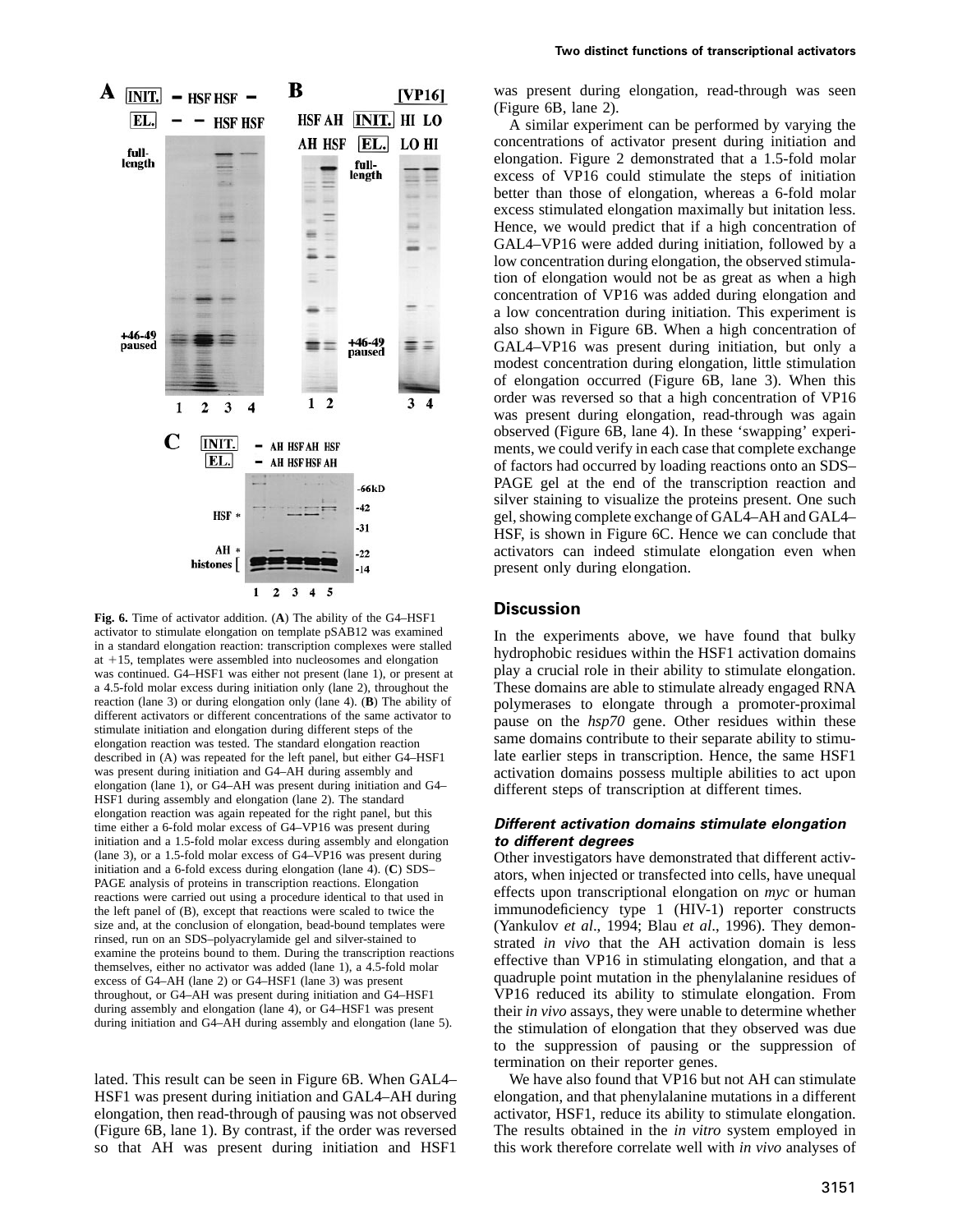

**Fig. 6.** Time of activator addition. (**A**) The ability of the G4–HSF1 activator to stimulate elongation on template pSAB12 was examined in a standard elongation reaction: transcription complexes were stalled at  $+15$ , templates were assembled into nucleosomes and elongation was continued. G4–HSF1 was either not present (lane 1), or present at a 4.5-fold molar excess during initiation only (lane 2), throughout the reaction (lane 3) or during elongation only (lane 4). (**B**) The ability of different activators or different concentrations of the same activator to stimulate initiation and elongation during different steps of the elongation reaction was tested. The standard elongation reaction described in (A) was repeated for the left panel, but either G4–HSF1 was present during initiation and G4–AH during assembly and elongation (lane 1), or G4–AH was present during initiation and G4– HSF1 during assembly and elongation (lane 2). The standard elongation reaction was again repeated for the right panel, but this time either a 6-fold molar excess of G4–VP16 was present during initiation and a 1.5-fold molar excess during assembly and elongation (lane 3), or a 1.5-fold molar excess of G4–VP16 was present during initiation and a 6-fold excess during elongation (lane 4). (**C**) SDS– PAGE analysis of proteins in transcription reactions. Elongation reactions were carried out using a procedure identical to that used in the left panel of (B), except that reactions were scaled to twice the size and, at the conclusion of elongation, bead-bound templates were rinsed, run on an SDS–polyacrylamide gel and silver-stained to examine the proteins bound to them. During the transcription reactions themselves, either no activator was added (lane 1), a 4.5-fold molar excess of G4–AH (lane 2) or G4–HSF1 (lane 3) was present throughout, or G4–AH was present during initiation and G4–HSF1 during assembly and elongation (lane 4), or G4–HSF1 was present during initiation and G4–AH during assembly and elongation (lane 5).

lated. This result can be seen in Figure 6B. When GAL4– HSF1 was present during initiation and GAL4–AH during elongation, then read-through of pausing was not observed (Figure 6B, lane 1). By contrast, if the order was reversed so that AH was present during initiation and HSF1

was present during elongation, read-through was seen (Figure 6B, lane 2).

A similar experiment can be performed by varying the concentrations of activator present during initiation and elongation. Figure 2 demonstrated that a 1.5-fold molar excess of VP16 could stimulate the steps of initiation better than those of elongation, whereas a 6-fold molar excess stimulated elongation maximally but initation less. Hence, we would predict that if a high concentration of GAL4–VP16 were added during initiation, followed by a low concentration during elongation, the observed stimulation of elongation would not be as great as when a high concentration of VP16 was added during elongation and a low concentration during initiation. This experiment is also shown in Figure 6B. When a high concentration of GAL4–VP16 was present during initiation, but only a modest concentration during elongation, little stimulation of elongation occurred (Figure 6B, lane 3). When this order was reversed so that a high concentration of VP16 was present during elongation, read-through was again observed (Figure 6B, lane 4). In these 'swapping' experiments, we could verify in each case that complete exchange of factors had occurred by loading reactions onto an SDS– PAGE gel at the end of the transcription reaction and silver staining to visualize the proteins present. One such gel, showing complete exchange of GAL4–AH and GAL4– HSF, is shown in Figure 6C. Hence we can conclude that activators can indeed stimulate elongation even when present only during elongation.

## **Discussion**

In the experiments above, we have found that bulky hydrophobic residues within the HSF1 activation domains play a crucial role in their ability to stimulate elongation. These domains are able to stimulate already engaged RNA polymerases to elongate through a promoter-proximal pause on the *hsp70* gene. Other residues within these same domains contribute to their separate ability to stimulate earlier steps in transcription. Hence, the same HSF1 activation domains possess multiple abilities to act upon different steps of transcription at different times.

#### **Different activation domains stimulate elongation to different degrees**

Other investigators have demonstrated that different activators, when injected or transfected into cells, have unequal effects upon transcriptional elongation on *myc* or human immunodeficiency type 1 (HIV-1) reporter constructs (Yankulov *et al*., 1994; Blau *et al*., 1996). They demonstrated *in vivo* that the AH activation domain is less effective than VP16 in stimulating elongation, and that a quadruple point mutation in the phenylalanine residues of VP16 reduced its ability to stimulate elongation. From their *in vivo* assays, they were unable to determine whether the stimulation of elongation that they observed was due to the suppression of pausing or the suppression of termination on their reporter genes.

We have also found that VP16 but not AH can stimulate elongation, and that phenylalanine mutations in a different activator, HSF1, reduce its ability to stimulate elongation. The results obtained in the *in vitro* system employed in this work therefore correlate well with *in vivo* analyses of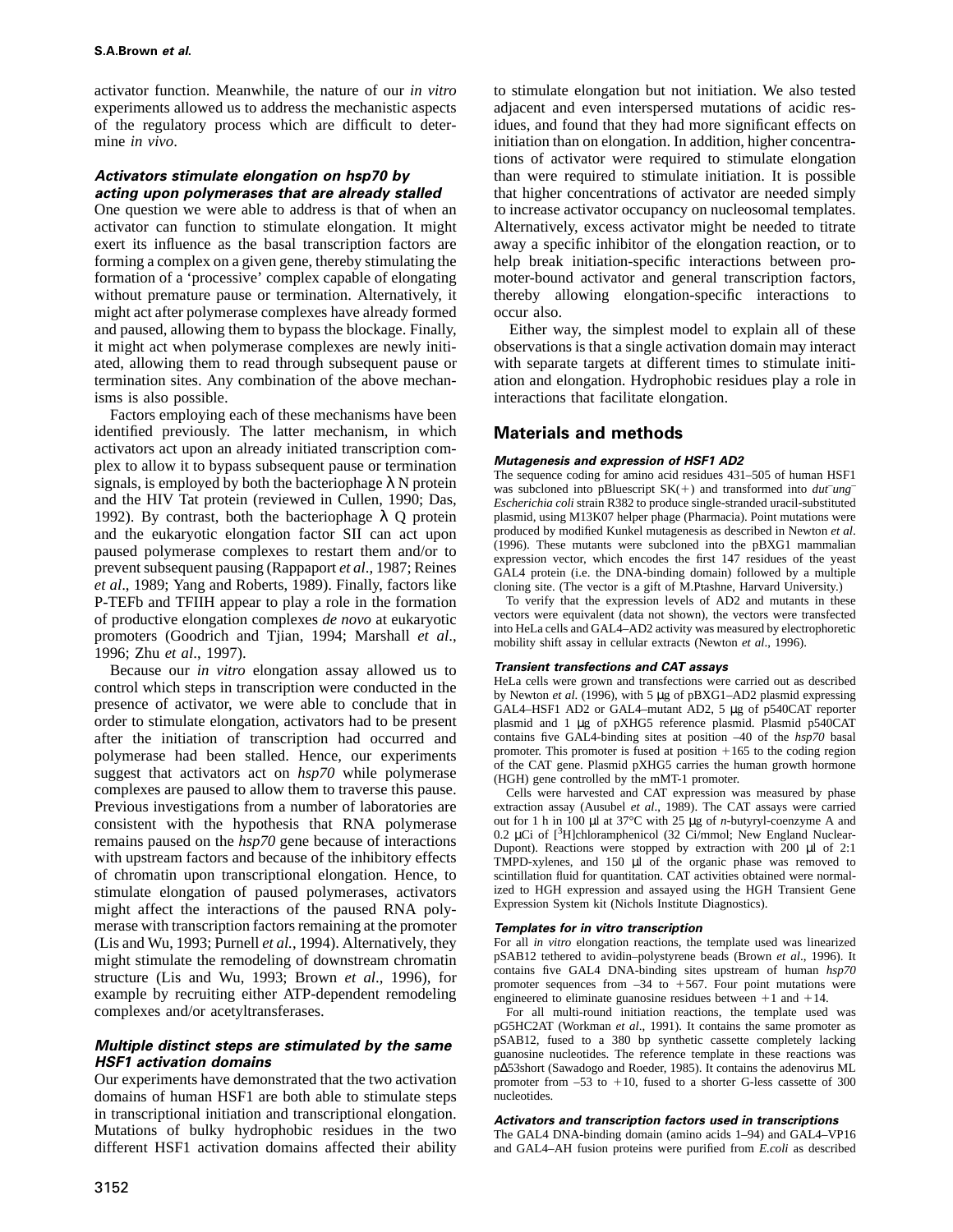activator function. Meanwhile, the nature of our *in vitro* experiments allowed us to address the mechanistic aspects of the regulatory process which are difficult to determine *in vivo*.

## **Activators stimulate elongation on hsp70 by acting upon polymerases that are already stalled**

One question we were able to address is that of when an activator can function to stimulate elongation. It might exert its influence as the basal transcription factors are forming a complex on a given gene, thereby stimulating the formation of a 'processive' complex capable of elongating without premature pause or termination. Alternatively, it might act after polymerase complexes have already formed and paused, allowing them to bypass the blockage. Finally, it might act when polymerase complexes are newly initiated, allowing them to read through subsequent pause or termination sites. Any combination of the above mechanisms is also possible.

Factors employing each of these mechanisms have been identified previously. The latter mechanism, in which activators act upon an already initiated transcription complex to allow it to bypass subsequent pause or termination signals, is employed by both the bacteriophage  $\lambda$  N protein and the HIV Tat protein (reviewed in Cullen, 1990; Das, 1992). By contrast, both the bacteriophage  $\lambda$  O protein and the eukaryotic elongation factor SII can act upon paused polymerase complexes to restart them and/or to prevent subsequent pausing (Rappaport *et al*., 1987; Reines *et al*., 1989; Yang and Roberts, 1989). Finally, factors like P-TEFb and TFIIH appear to play a role in the formation of productive elongation complexes *de novo* at eukaryotic promoters (Goodrich and Tjian, 1994; Marshall *et al*., 1996; Zhu *et al*., 1997).

Because our *in vitro* elongation assay allowed us to control which steps in transcription were conducted in the presence of activator, we were able to conclude that in order to stimulate elongation, activators had to be present after the initiation of transcription had occurred and polymerase had been stalled. Hence, our experiments suggest that activators act on *hsp70* while polymerase complexes are paused to allow them to traverse this pause. Previous investigations from a number of laboratories are consistent with the hypothesis that RNA polymerase remains paused on the *hsp70* gene because of interactions with upstream factors and because of the inhibitory effects of chromatin upon transcriptional elongation. Hence, to stimulate elongation of paused polymerases, activators might affect the interactions of the paused RNA polymerase with transcription factors remaining at the promoter (Lis and Wu, 1993; Purnell *et al.*, 1994). Alternatively, they might stimulate the remodeling of downstream chromatin structure (Lis and Wu, 1993; Brown *et al*., 1996), for example by recruiting either ATP-dependent remodeling complexes and/or acetyltransferases.

#### **Multiple distinct steps are stimulated by the same HSF1 activation domains**

Our experiments have demonstrated that the two activation domains of human HSF1 are both able to stimulate steps in transcriptional initiation and transcriptional elongation. Mutations of bulky hydrophobic residues in the two different HSF1 activation domains affected their ability to stimulate elongation but not initiation. We also tested adjacent and even interspersed mutations of acidic residues, and found that they had more significant effects on initiation than on elongation. In addition, higher concentrations of activator were required to stimulate elongation than were required to stimulate initiation. It is possible that higher concentrations of activator are needed simply to increase activator occupancy on nucleosomal templates. Alternatively, excess activator might be needed to titrate away a specific inhibitor of the elongation reaction, or to help break initiation-specific interactions between promoter-bound activator and general transcription factors, thereby allowing elongation-specific interactions to occur also.

Either way, the simplest model to explain all of these observations is that a single activation domain may interact with separate targets at different times to stimulate initiation and elongation. Hydrophobic residues play a role in interactions that facilitate elongation.

# **Materials and methods**

## **Mutagenesis and expression of HSF1 AD2**

The sequence coding for amino acid residues 431–505 of human HSF1 was subcloned into pBluescript  $SK(+)$  and transformed into  $du$ *tung Escherichia coli* strain R382 to produce single-stranded uracil-substituted plasmid, using M13K07 helper phage (Pharmacia). Point mutations were produced by modified Kunkel mutagenesis as described in Newton *et al*. (1996). These mutants were subcloned into the pBXG1 mammalian expression vector, which encodes the first 147 residues of the yeast GAL4 protein (i.e. the DNA-binding domain) followed by a multiple cloning site. (The vector is a gift of M.Ptashne, Harvard University.)

To verify that the expression levels of AD2 and mutants in these vectors were equivalent (data not shown), the vectors were transfected into HeLa cells and GAL4–AD2 activity was measured by electrophoretic mobility shift assay in cellular extracts (Newton *et al*., 1996).

#### **Transient transfections and CAT assays**

HeLa cells were grown and transfections were carried out as described by Newton *et al*. (1996), with 5 µg of pBXG1–AD2 plasmid expressing GAL4–HSF1 AD2 or GAL4–mutant AD2, 5 µg of p540CAT reporter plasmid and 1 µg of pXHG5 reference plasmid. Plasmid p540CAT contains five GAL4-binding sites at position –40 of the *hsp70* basal promoter. This promoter is fused at position  $+165$  to the coding region of the CAT gene. Plasmid pXHG5 carries the human growth hormone (HGH) gene controlled by the mMT-1 promoter.

Cells were harvested and CAT expression was measured by phase extraction assay (Ausubel *et al*., 1989). The CAT assays were carried out for 1 h in 100 µl at 37°C with 25 µg of *n*-butyryl-coenzyme A and 0.2 µCi of [3H]chloramphenicol (32 Ci/mmol; New England Nuclear-Dupont). Reactions were stopped by extraction with 200  $\mu$ l of 2:1 TMPD-xylenes, and 150 µl of the organic phase was removed to scintillation fluid for quantitation. CAT activities obtained were normalized to HGH expression and assayed using the HGH Transient Gene Expression System kit (Nichols Institute Diagnostics).

#### **Templates for in vitro transcription**

For all *in vitro* elongation reactions, the template used was linearized pSAB12 tethered to avidin–polystyrene beads (Brown *et al*., 1996). It contains five GAL4 DNA-binding sites upstream of human *hsp70* promoter sequences from  $-34$  to  $+567$ . Four point mutations were engineered to eliminate guanosine residues between  $+1$  and  $+14$ .

For all multi-round initiation reactions, the template used was pG5HC2AT (Workman *et al*., 1991). It contains the same promoter as pSAB12, fused to a 380 bp synthetic cassette completely lacking guanosine nucleotides. The reference template in these reactions was p∆53short (Sawadogo and Roeder, 1985). It contains the adenovirus ML promoter from  $-53$  to  $+10$ , fused to a shorter G-less cassette of 300 nucleotides.

#### **Activators and transcription factors used in transcriptions**

The GAL4 DNA-binding domain (amino acids 1–94) and GAL4–VP16 and GAL4–AH fusion proteins were purified from *E.coli* as described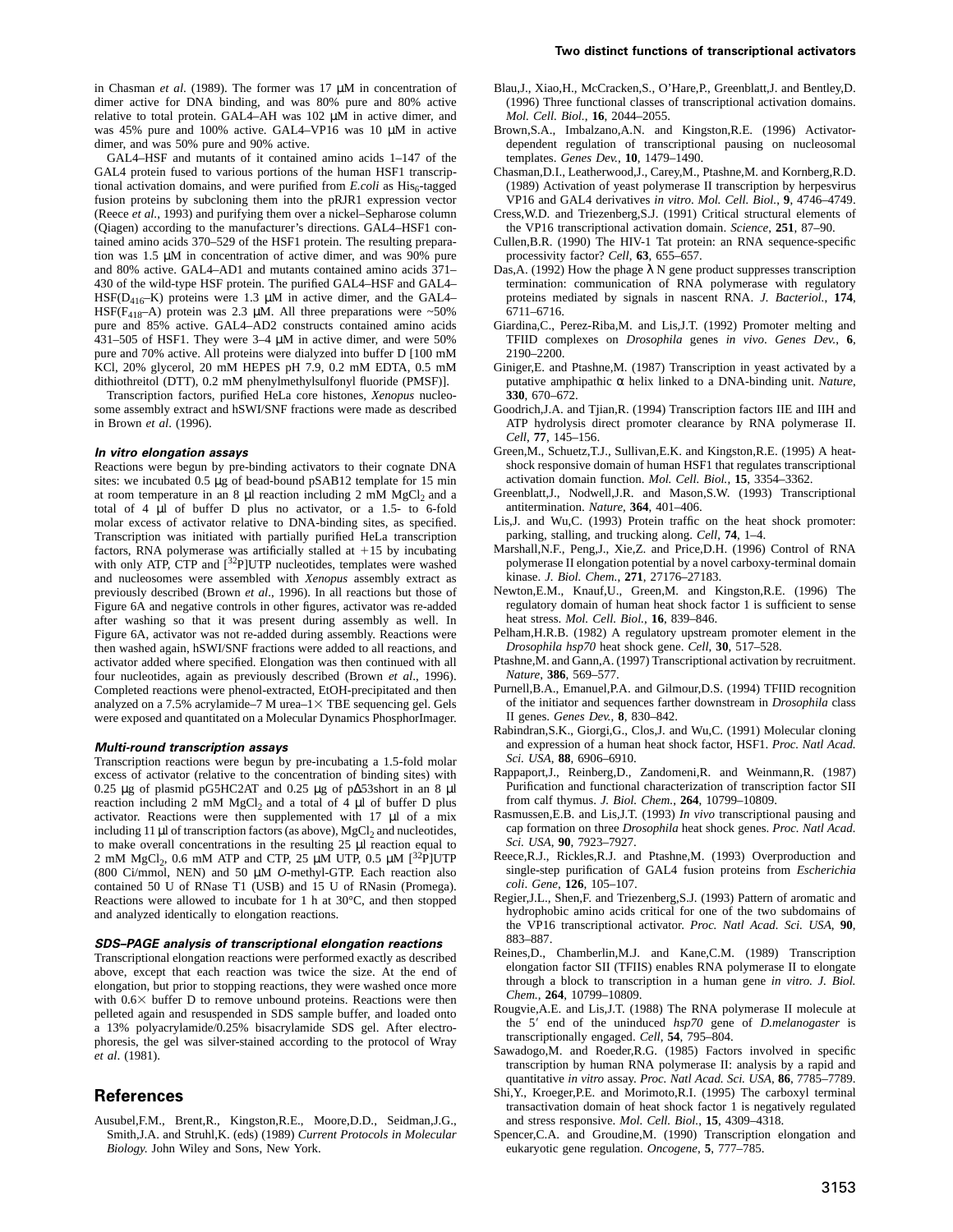in Chasman *et al*. (1989). The former was 17 µM in concentration of dimer active for DNA binding, and was 80% pure and 80% active relative to total protein. GAL4–AH was 102 µM in active dimer, and was 45% pure and 100% active. GAL4–VP16 was 10 µM in active dimer, and was 50% pure and 90% active.

GAL4–HSF and mutants of it contained amino acids 1–147 of the GAL4 protein fused to various portions of the human HSF1 transcriptional activation domains, and were purified from *E.coli* as His<sub>6</sub>-tagged fusion proteins by subcloning them into the pRJR1 expression vector (Reece *et al*., 1993) and purifying them over a nickel–Sepharose column (Qiagen) according to the manufacturer's directions. GAL4–HSF1 contained amino acids 370–529 of the HSF1 protein. The resulting preparation was 1.5 µM in concentration of active dimer, and was 90% pure and 80% active. GAL4–AD1 and mutants contained amino acids 371– 430 of the wild-type HSF protein. The purified GAL4–HSF and GAL4– HSF( $D_{416}$ –K) proteins were 1.3  $\mu$ M in active dimer, and the GAL4– HSF( $F_{418}$ -A) protein was 2.3 µM. All three preparations were ~50% pure and 85% active. GAL4–AD2 constructs contained amino acids 431–505 of HSF1. They were 3–4 µM in active dimer, and were 50% pure and 70% active. All proteins were dialyzed into buffer D [100 mM KCl, 20% glycerol, 20 mM HEPES pH 7.9, 0.2 mM EDTA, 0.5 mM dithiothreitol (DTT), 0.2 mM phenylmethylsulfonyl fluoride (PMSF)].

Transcription factors, purified HeLa core histones, *Xenopus* nucleosome assembly extract and hSWI/SNF fractions were made as described in Brown *et al*. (1996).

#### **In vitro elongation assays**

Reactions were begun by pre-binding activators to their cognate DNA sites: we incubated 0.5 µg of bead-bound pSAB12 template for 15 min at room temperature in an 8  $\mu$ l reaction including 2 mM MgCl<sub>2</sub> and a total of 4 µl of buffer D plus no activator, or a 1.5- to 6-fold molar excess of activator relative to DNA-binding sites, as specified. Transcription was initiated with partially purified HeLa transcription factors, RNA polymerase was artificially stalled at  $+15$  by incubating with only ATP, CTP and [<sup>32</sup>P]UTP nucleotides, templates were washed and nucleosomes were assembled with *Xenopus* assembly extract as previously described (Brown *et al*., 1996). In all reactions but those of Figure 6A and negative controls in other figures, activator was re-added after washing so that it was present during assembly as well. In Figure 6A, activator was not re-added during assembly. Reactions were then washed again, hSWI/SNF fractions were added to all reactions, and activator added where specified. Elongation was then continued with all four nucleotides, again as previously described (Brown *et al*., 1996). Completed reactions were phenol-extracted, EtOH-precipitated and then analyzed on a 7.5% acrylamide–7 M urea–1 $\times$  TBE sequencing gel. Gels were exposed and quantitated on a Molecular Dynamics PhosphorImager.

#### **Multi-round transcription assays**

Transcription reactions were begun by pre-incubating a 1.5-fold molar excess of activator (relative to the concentration of binding sites) with 0.25 µg of plasmid pG5HC2AT and 0.25 µg of p∆53short in an 8 µl reaction including 2 mM  $MgCl<sub>2</sub>$  and a total of 4 µl of buffer D plus activator. Reactions were then supplemented with 17 µl of a mix including 11  $\mu$ l of transcription factors (as above), MgCl<sub>2</sub> and nucleotides, to make overall concentrations in the resulting 25 µl reaction equal to 2 mM MgCl<sub>2</sub>, 0.6 mM ATP and CTP, 25  $\mu$ M UTP, 0.5  $\mu$ M [<sup>32</sup>P]UTP (800 Ci/mmol, NEN) and 50 µM *O*-methyl-GTP. Each reaction also contained 50 U of RNase T1 (USB) and 15 U of RNasin (Promega). Reactions were allowed to incubate for 1 h at 30°C, and then stopped and analyzed identically to elongation reactions.

#### **SDS–PAGE analysis of transcriptional elongation reactions**

Transcriptional elongation reactions were performed exactly as described above, except that each reaction was twice the size. At the end of elongation, but prior to stopping reactions, they were washed once more with  $0.6\times$  buffer D to remove unbound proteins. Reactions were then pelleted again and resuspended in SDS sample buffer, and loaded onto a 13% polyacrylamide/0.25% bisacrylamide SDS gel. After electrophoresis, the gel was silver-stained according to the protocol of Wray *et al*. (1981).

## **References**

Ausubel,F.M., Brent,R., Kingston,R.E., Moore,D.D., Seidman,J.G., Smith,J.A. and Struhl,K. (eds) (1989) *Current Protocols in Molecular Biology*. John Wiley and Sons, New York.

- Blau,J., Xiao,H., McCracken,S., O'Hare,P., Greenblatt,J. and Bentley,D. (1996) Three functional classes of transcriptional activation domains. *Mol. Cell. Biol.*, **16**, 2044–2055.
- Brown,S.A., Imbalzano,A.N. and Kingston,R.E. (1996) Activatordependent regulation of transcriptional pausing on nucleosomal templates. *Genes Dev.*, **10**, 1479–1490.
- Chasman,D.I., Leatherwood,J., Carey,M., Ptashne,M. and Kornberg,R.D. (1989) Activation of yeast polymerase II transcription by herpesvirus VP16 and GAL4 derivatives *in vitro*. *Mol. Cell. Biol.*, **9**, 4746–4749.
- Cress,W.D. and Triezenberg,S.J. (1991) Critical structural elements of the VP16 transcriptional activation domain. *Science*, **251**, 87–90.
- Cullen,B.R. (1990) The HIV-1 Tat protein: an RNA sequence-specific processivity factor? *Cell*, **63**, 655–657.
- Das, A. (1992) How the phage  $\lambda$  N gene product suppresses transcription termination: communication of RNA polymerase with regulatory proteins mediated by signals in nascent RNA. *J. Bacteriol.*, **174**, 6711–6716.
- Giardina,C., Perez-Riba,M. and Lis,J.T. (1992) Promoter melting and TFIID complexes on *Drosophila* genes *in vivo*. *Genes Dev.*, **6**, 2190–2200.
- Giniger,E. and Ptashne,M. (1987) Transcription in yeast activated by a putative amphipathic α helix linked to a DNA-binding unit. *Nature*, **330**, 670–672.
- Goodrich,J.A. and Tjian,R. (1994) Transcription factors IIE and IIH and ATP hydrolysis direct promoter clearance by RNA polymerase II. *Cell*, **77**, 145–156.
- Green,M., Schuetz,T.J., Sullivan,E.K. and Kingston,R.E. (1995) A heatshock responsive domain of human HSF1 that regulates transcriptional activation domain function. *Mol. Cell. Biol.*, **15**, 3354–3362.
- Greenblatt,J., Nodwell,J.R. and Mason,S.W. (1993) Transcriptional antitermination. *Nature*, **364**, 401–406.
- Lis,J. and Wu,C. (1993) Protein traffic on the heat shock promoter: parking, stalling, and trucking along. *Cell*, **74**, 1–4.
- Marshall,N.F., Peng,J., Xie,Z. and Price,D.H. (1996) Control of RNA polymerase II elongation potential by a novel carboxy-terminal domain kinase. *J. Biol. Chem.*, **271**, 27176–27183.
- Newton,E.M., Knauf,U., Green,M. and Kingston,R.E. (1996) The regulatory domain of human heat shock factor 1 is sufficient to sense heat stress. *Mol. Cell. Biol.*, **16**, 839–846.
- Pelham,H.R.B. (1982) A regulatory upstream promoter element in the *Drosophila hsp70* heat shock gene. *Cell*, **30**, 517–528.
- Ptashne,M. and Gann,A. (1997) Transcriptional activation by recruitment. *Nature*, **386**, 569–577.
- Purnell,B.A., Emanuel,P.A. and Gilmour,D.S. (1994) TFIID recognition of the initiator and sequences farther downstream in *Drosophila* class II genes. *Genes Dev.*, **8**, 830–842.
- Rabindran,S.K., Giorgi,G., Clos,J. and Wu,C. (1991) Molecular cloning and expression of a human heat shock factor, HSF1. *Proc. Natl Acad. Sci. USA*, **88**, 6906–6910.
- Rappaport,J., Reinberg,D., Zandomeni,R. and Weinmann,R. (1987) Purification and functional characterization of transcription factor SII from calf thymus. *J. Biol. Chem.*, **264**, 10799–10809.
- Rasmussen,E.B. and Lis,J.T. (1993) *In vivo* transcriptional pausing and cap formation on three *Drosophila* heat shock genes. *Proc. Natl Acad. Sci. USA*, **90**, 7923–7927.
- Reece,R.J., Rickles,R.J. and Ptashne,M. (1993) Overproduction and single-step purification of GAL4 fusion proteins from *Escherichia coli*. *Gene*, **126**, 105–107.
- Regier,J.L., Shen,F. and Triezenberg,S.J. (1993) Pattern of aromatic and hydrophobic amino acids critical for one of the two subdomains of the VP16 transcriptional activator. *Proc. Natl Acad. Sci. USA*, **90**, 883–887.
- Reines,D., Chamberlin,M.J. and Kane,C.M. (1989) Transcription elongation factor SII (TFIIS) enables RNA polymerase II to elongate through a block to transcription in a human gene *in vitro. J. Biol. Chem.*, **264**, 10799–10809.
- Rougvie,A.E. and Lis,J.T. (1988) The RNA polymerase II molecule at the 5' end of the uninduced  $hsp70$  gene of *D.melanogaster* is transcriptionally engaged. *Cell*, **54**, 795–804.
- Sawadogo,M. and Roeder,R.G. (1985) Factors involved in specific transcription by human RNA polymerase II: analysis by a rapid and quantitative *in vitro* assay. *Proc. Natl Acad. Sci. USA*, **86**, 7785–7789.
- Shi,Y., Kroeger,P.E. and Morimoto,R.I. (1995) The carboxyl terminal transactivation domain of heat shock factor 1 is negatively regulated and stress responsive. *Mol. Cell. Biol.*, **15**, 4309–4318.
- Spencer,C.A. and Groudine,M. (1990) Transcription elongation and eukaryotic gene regulation. *Oncogene*, **5**, 777–785.